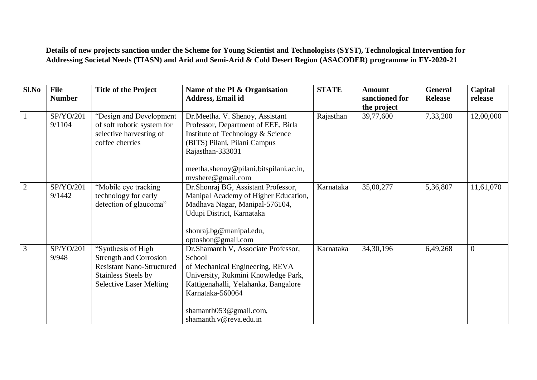**Details of new projects sanction under the Scheme for Young Scientist and Technologists (SYST), Technological Intervention for Addressing Societal Needs (TIASN) and Arid and Semi-Arid & Cold Desert Region (ASACODER) programme in FY-2020-21**

| Sl.No          | <b>File</b><br><b>Number</b> | <b>Title of the Project</b>                                                                                                                             | Name of the PI & Organisation<br>Address, Email id                                                                                                                                                                                       | <b>STATE</b> | <b>Amount</b><br>sanctioned for<br>the project | <b>General</b><br><b>Release</b> | Capital<br>release |
|----------------|------------------------------|---------------------------------------------------------------------------------------------------------------------------------------------------------|------------------------------------------------------------------------------------------------------------------------------------------------------------------------------------------------------------------------------------------|--------------|------------------------------------------------|----------------------------------|--------------------|
|                | SP/YO/201<br>9/1104          | "Design and Development<br>of soft robotic system for<br>selective harvesting of<br>coffee cherries                                                     | Dr. Meetha. V. Shenoy, Assistant<br>Professor, Department of EEE, Birla<br>Institute of Technology & Science<br>(BITS) Pilani, Pilani Campus<br>Rajasthan-333031                                                                         | Rajasthan    | 39,77,600                                      | 7,33,200                         | 12,00,000          |
|                |                              |                                                                                                                                                         | meetha.shenoy@pilani.bitspilani.ac.in,<br>myshere@gmail.com                                                                                                                                                                              |              |                                                |                                  |                    |
| $\overline{2}$ | SP/YO/201<br>9/1442          | "Mobile eye tracking<br>technology for early<br>detection of glaucoma"                                                                                  | Dr.Shonraj BG, Assistant Professor,<br>Manipal Academy of Higher Education,<br>Madhava Nagar, Manipal-576104,<br>Udupi District, Karnataka<br>shonraj.bg@manipal.edu,<br>optoshon@gmail.com                                              | Karnataka    | 35,00,277                                      | 5,36,807                         | 11,61,070          |
| 3              | SP/YO/201<br>9/948           | "Synthesis of High<br><b>Strength and Corrosion</b><br><b>Resistant Nano-Structured</b><br><b>Stainless Steels by</b><br><b>Selective Laser Melting</b> | Dr. Shamanth V, Associate Professor,<br>School<br>of Mechanical Engineering, REVA<br>University, Rukmini Knowledge Park,<br>Kattigenahalli, Yelahanka, Bangalore<br>Karnataka-560064<br>shamanth053@gmail.com,<br>shamanth.v@reva.edu.in | Karnataka    | 34, 30, 196                                    | 6,49,268                         | $\overline{0}$     |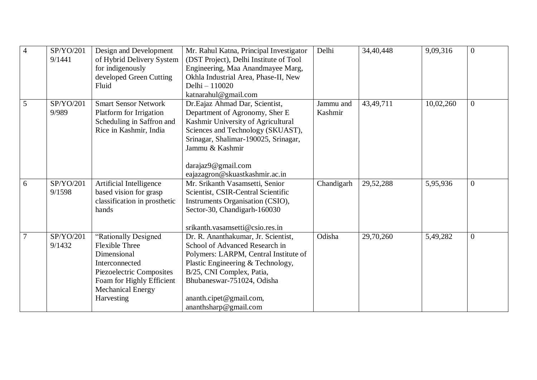| $\overline{4}$ | SP/YO/201<br>9/1441 | Design and Development<br>of Hybrid Delivery System<br>for indigenously<br>developed Green Cutting<br>Fluid                                                                       | Mr. Rahul Katna, Principal Investigator<br>(DST Project), Delhi Institute of Tool<br>Engineering, Maa Anandmayee Marg,<br>Okhla Industrial Area, Phase-II, New<br>Delhi - 110020<br>katnarahul@gmail.com                                                           | Delhi                | 34,40,448 | 9,09,316  | $\Omega$       |
|----------------|---------------------|-----------------------------------------------------------------------------------------------------------------------------------------------------------------------------------|--------------------------------------------------------------------------------------------------------------------------------------------------------------------------------------------------------------------------------------------------------------------|----------------------|-----------|-----------|----------------|
| 5              | SP/YO/201<br>9/989  | <b>Smart Sensor Network</b><br>Platform for Irrigation<br>Scheduling in Saffron and<br>Rice in Kashmir, India                                                                     | Dr.Eajaz Ahmad Dar, Scientist,<br>Department of Agronomy, Sher E<br>Kashmir University of Agricultural<br>Sciences and Technology (SKUAST),<br>Srinagar, Shalimar-190025, Srinagar,<br>Jammu & Kashmir<br>darajaz9@gmail.com<br>eajazagron@skuastkashmir.ac.in     | Jammu and<br>Kashmir | 43,49,711 | 10,02,260 | $\overline{0}$ |
| 6              | SP/YO/201<br>9/1598 | Artificial Intelligence<br>based vision for grasp<br>classification in prosthetic<br>hands                                                                                        | Mr. Srikanth Vasamsetti, Senior<br>Scientist, CSIR-Central Scientific<br>Instruments Organisation (CSIO),<br>Sector-30, Chandigarh-160030<br>srikanth.vasamsetti@csio.res.in                                                                                       | Chandigarh           | 29,52,288 | 5,95,936  | $\overline{0}$ |
| $\overline{7}$ | SP/YO/201<br>9/1432 | "Rationally Designed<br><b>Flexible Three</b><br>Dimensional<br>Interconnected<br>Piezoelectric Composites<br>Foam for Highly Efficient<br><b>Mechanical Energy</b><br>Harvesting | Dr. R. Ananthakumar, Jr. Scientist,<br>School of Advanced Research in<br>Polymers: LARPM, Central Institute of<br>Plastic Engineering & Technology,<br>B/25, CNI Complex, Patia,<br>Bhubaneswar-751024, Odisha<br>ananth.cipet@gmail.com,<br>ananthsharp@gmail.com | Odisha               | 29,70,260 | 5,49,282  | $\overline{0}$ |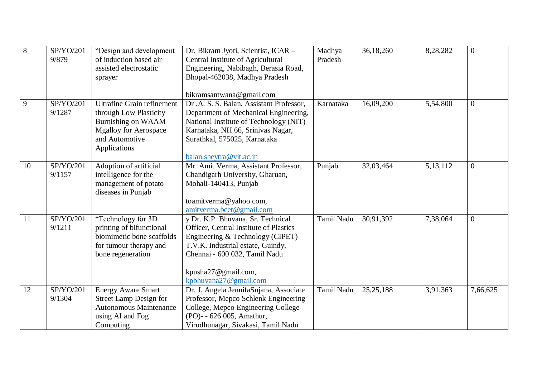| $\overline{8}$ | SP/YO/201 | "Design and development           | Dr. Bikram Jyoti, Scientist, ICAR -     | Madhya     | 36,18,260   | 8,28,282   | $\overline{0}$ |
|----------------|-----------|-----------------------------------|-----------------------------------------|------------|-------------|------------|----------------|
|                | 9/879     | of induction based air            | Central Institute of Agricultural       | Pradesh    |             |            |                |
|                |           | assisted electrostatic            | Engineering, Nabibagh, Berasia Road,    |            |             |            |                |
|                |           | sprayer                           | Bhopal-462038, Madhya Pradesh           |            |             |            |                |
|                |           |                                   |                                         |            |             |            |                |
|                |           |                                   | bikramsantwana@gmail.com                |            |             |            |                |
| 9              | SP/YO/201 | <b>Ultrafine Grain refinement</b> | Dr.A. S. S. Balan, Assistant Professor, | Karnataka  | 16,09,200   | 5,54,800   | $\overline{0}$ |
|                | 9/1287    | through Low Plasticity            | Department of Mechanical Engineering,   |            |             |            |                |
|                |           | Burnishing on WAAM                | National Institute of Technology (NIT)  |            |             |            |                |
|                |           | <b>Mgalloy for Aerospace</b>      | Karnataka, NH 66, Srinivas Nagar,       |            |             |            |                |
|                |           | and Automotive                    | Surathkal, 575025, Karnataka            |            |             |            |                |
|                |           | Applications                      |                                         |            |             |            |                |
|                |           |                                   | balan.sheytra@vit.ac.in                 |            |             |            |                |
| 10             | SP/YO/201 | Adoption of artificial            | Mr. Amit Verma, Assistant Professor,    | Punjab     | 32,03,464   | 5, 13, 112 | $\overline{0}$ |
|                | 9/1157    | intelligence for the              | Chandigarh University, Gharuan,         |            |             |            |                |
|                |           | management of potato              | Mohali-140413, Punjab                   |            |             |            |                |
|                |           | diseases in Punjab                |                                         |            |             |            |                |
|                |           |                                   | toamitverma@yahoo.com,                  |            |             |            |                |
|                |           |                                   | amityerma.bcet@gmail.com                |            |             |            |                |
| 11             | SP/YO/201 | "Technology for 3D                | y Dr. K.P. Bhuvana, Sr. Technical       | Tamil Nadu | 30,91,392   | 7,38,064   | $\overline{0}$ |
|                | 9/1211    | printing of bifunctional          | Officer, Central Institute of Plastics  |            |             |            |                |
|                |           | biomimetic bone scaffolds         | Engineering & Technology (CIPET)        |            |             |            |                |
|                |           | for tumour therapy and            | T.V.K. Industrial estate, Guindy,       |            |             |            |                |
|                |           | bone regeneration                 | Chennai - 600 032, Tamil Nadu           |            |             |            |                |
|                |           |                                   |                                         |            |             |            |                |
|                |           |                                   | kpusha27@gmail.com,                     |            |             |            |                |
|                |           |                                   | kpbhuvana27@gmail.com                   |            |             |            |                |
| 12             | SP/YO/201 | <b>Energy Aware Smart</b>         | Dr. J. Angela JennifaSujana, Associate  | Tamil Nadu | 25, 25, 188 | 3,91,363   | 7,66,625       |
|                | 9/1304    | <b>Street Lamp Design for</b>     | Professor, Mepco Schlenk Engineering    |            |             |            |                |
|                |           | <b>Autonomous Maintenance</b>     | College, Mepco Engineering College      |            |             |            |                |
|                |           | using AI and Fog                  | (PO)- - 626 005, Amathur,               |            |             |            |                |
|                |           | Computing                         | Virudhunagar, Sivakasi, Tamil Nadu      |            |             |            |                |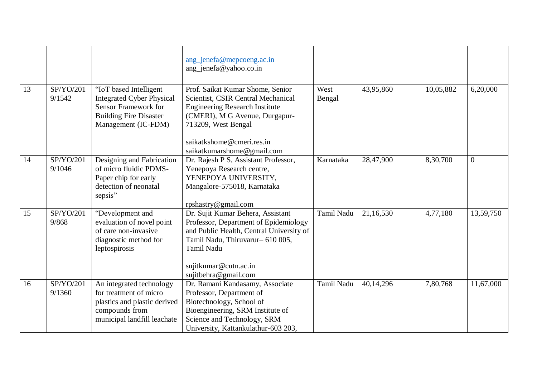|    |                     |                                                                                                                                                   | ang jenefa@mepcoeng.ac.in<br>ang_jenefa@yahoo.co.in                                                                                                                                                                                 |                   |           |           |                |
|----|---------------------|---------------------------------------------------------------------------------------------------------------------------------------------------|-------------------------------------------------------------------------------------------------------------------------------------------------------------------------------------------------------------------------------------|-------------------|-----------|-----------|----------------|
| 13 | SP/YO/201<br>9/1542 | "IoT based Intelligent<br><b>Integrated Cyber Physical</b><br><b>Sensor Framework for</b><br><b>Building Fire Disaster</b><br>Management (IC-FDM) | Prof. Saikat Kumar Shome, Senior<br>Scientist, CSIR Central Mechanical<br><b>Engineering Research Institute</b><br>(CMERI), M G Avenue, Durgapur-<br>713209, West Bengal<br>saikatkshome@cmeri.res.in<br>saikatkumarshome@gmail.com | West<br>Bengal    | 43,95,860 | 10,05,882 | 6,20,000       |
| 14 | SP/YO/201<br>9/1046 | Designing and Fabrication<br>of micro fluidic PDMS-<br>Paper chip for early<br>detection of neonatal<br>sepsis"                                   | Dr. Rajesh P S, Assistant Professor,<br>Yenepoya Research centre,<br>YENEPOYA UNIVERSITY,<br>Mangalore-575018, Karnataka<br>rpshastry@gmail.com                                                                                     | Karnataka         | 28,47,900 | 8,30,700  | $\overline{0}$ |
| 15 | SP/YO/201<br>9/868  | "Development and<br>evaluation of novel point<br>of care non-invasive<br>diagnostic method for<br>leptospirosis                                   | Dr. Sujit Kumar Behera, Assistant<br>Professor, Department of Epidemiology<br>and Public Health, Central University of<br>Tamil Nadu, Thiruvarur- 610 005,<br>Tamil Nadu<br>sujitkumar@cutn.ac.in<br>sujitbehra@gmail.com           | Tamil Nadu        | 21,16,530 | 4,77,180  | 13,59,750      |
| 16 | SP/YO/201<br>9/1360 | An integrated technology<br>for treatment of micro<br>plastics and plastic derived<br>compounds from<br>municipal landfill leachate               | Dr. Ramani Kandasamy, Associate<br>Professor, Department of<br>Biotechnology, School of<br>Bioengineering, SRM Institute of<br>Science and Technology, SRM<br>University, Kattankulathur-603 203,                                   | <b>Tamil Nadu</b> | 40,14,296 | 7,80,768  | 11,67,000      |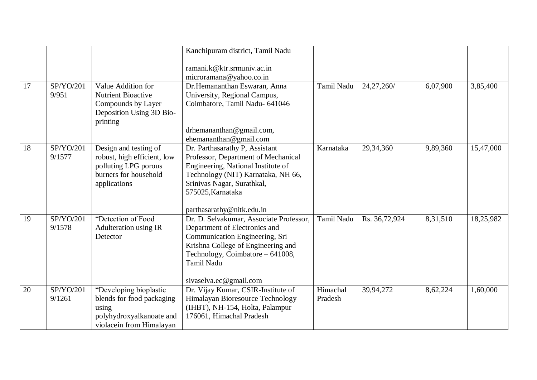|    |                     |                                                                                                                       | Kanchipuram district, Tamil Nadu                                                                                                                                                                                                  |                     |               |          |           |
|----|---------------------|-----------------------------------------------------------------------------------------------------------------------|-----------------------------------------------------------------------------------------------------------------------------------------------------------------------------------------------------------------------------------|---------------------|---------------|----------|-----------|
|    |                     |                                                                                                                       | ramani.k@ktr.srmuniv.ac.in<br>microramana@yahoo.co.in                                                                                                                                                                             |                     |               |          |           |
| 17 | SP/YO/201<br>9/951  | Value Addition for<br><b>Nutrient Bioactive</b><br>Compounds by Layer<br>Deposition Using 3D Bio-<br>printing         | Dr.Hemananthan Eswaran, Anna<br>University, Regional Campus,<br>Coimbatore, Tamil Nadu- 641046<br>drhemananthan@gmail.com,<br>ehemananthan@gmail.com                                                                              | Tamil Nadu          | 24,27,260/    | 6,07,900 | 3,85,400  |
| 18 | SP/YO/201<br>9/1577 | Design and testing of<br>robust, high efficient, low<br>polluting LPG porous<br>burners for household<br>applications | Dr. Parthasarathy P, Assistant<br>Professor, Department of Mechanical<br>Engineering, National Institute of<br>Technology (NIT) Karnataka, NH 66,<br>Srinivas Nagar, Surathkal,<br>575025, Karnataka<br>parthasarathy@nitk.edu.in | Karnataka           | 29,34,360     | 9,89,360 | 15,47,000 |
| 19 | SP/YO/201<br>9/1578 | "Detection of Food<br>Adulteration using IR<br>Detector                                                               | Dr. D. Selvakumar, Associate Professor,<br>Department of Electronics and<br>Communication Engineering, Sri<br>Krishna College of Engineering and<br>Technology, Coimbatore - 641008,<br>Tamil Nadu<br>sivaselva.ec@gmail.com      | Tamil Nadu          | Rs. 36,72,924 | 8,31,510 | 18,25,982 |
| 20 | SP/YO/201<br>9/1261 | "Developing bioplastic<br>blends for food packaging<br>using<br>polyhydroxyalkanoate and<br>violacein from Himalayan  | Dr. Vijay Kumar, CSIR-Institute of<br>Himalayan Bioresource Technology<br>(IHBT), NH-154, Holta, Palampur<br>176061, Himachal Pradesh                                                                                             | Himachal<br>Pradesh | 39,94,272     | 8,62,224 | 1,60,000  |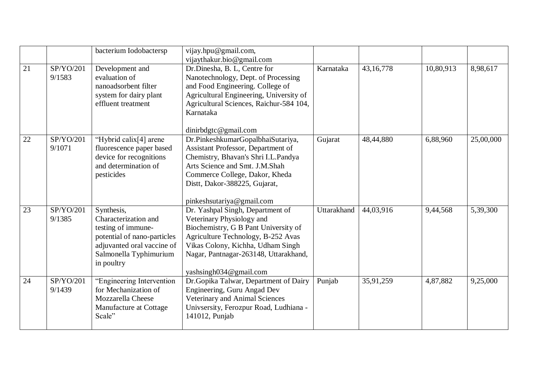|    |           | bacterium Iodobactersp      | vijay.hpu@gmail.com,                    |             |             |           |           |
|----|-----------|-----------------------------|-----------------------------------------|-------------|-------------|-----------|-----------|
|    |           |                             | vijaythakur.bio@gmail.com               |             |             |           |           |
| 21 | SP/YO/201 | Development and             | Dr.Dinesha, B. L, Centre for            | Karnataka   | 43, 16, 778 | 10,80,913 | 8,98,617  |
|    | 9/1583    | evaluation of               | Nanotechnology, Dept. of Processing     |             |             |           |           |
|    |           | nanoadsorbent filter        | and Food Engineering. College of        |             |             |           |           |
|    |           | system for dairy plant      | Agricultural Engineering, University of |             |             |           |           |
|    |           | effluent treatment          | Agricultural Sciences, Raichur-584 104, |             |             |           |           |
|    |           |                             | Karnataka                               |             |             |           |           |
|    |           |                             | dinirbdgtc@gmail.com                    |             |             |           |           |
| 22 | SP/YO/201 |                             |                                         |             | 48,44,880   |           |           |
|    |           | "Hybrid calix[4] arene      | Dr.PinkeshkumarGopalbhaiSutariya,       | Gujarat     |             | 6,88,960  | 25,00,000 |
|    | 9/1071    | fluorescence paper based    | Assistant Professor, Department of      |             |             |           |           |
|    |           | device for recognitions     | Chemistry, Bhavan's Shri I.L.Pandya     |             |             |           |           |
|    |           | and determination of        | Arts Science and Smt. J.M.Shah          |             |             |           |           |
|    |           | pesticides                  | Commerce College, Dakor, Kheda          |             |             |           |           |
|    |           |                             | Distt, Dakor-388225, Gujarat,           |             |             |           |           |
|    |           |                             |                                         |             |             |           |           |
|    |           |                             | pinkeshsutariya@gmail.com               |             |             |           |           |
| 23 | SP/YO/201 | Synthesis,                  | Dr. Yashpal Singh, Department of        | Uttarakhand | 44,03,916   | 9,44,568  | 5,39,300  |
|    | 9/1385    | Characterization and        | Veterinary Physiology and               |             |             |           |           |
|    |           | testing of immune-          | Biochemistry, G B Pant University of    |             |             |           |           |
|    |           | potential of nano-particles | Agriculture Technology, B-252 Avas      |             |             |           |           |
|    |           | adjuvanted oral vaccine of  | Vikas Colony, Kichha, Udham Singh       |             |             |           |           |
|    |           | Salmonella Typhimurium      | Nagar, Pantnagar-263148, Uttarakhand,   |             |             |           |           |
|    |           | in poultry                  |                                         |             |             |           |           |
|    |           |                             | yashsingh034@gmail.com                  |             |             |           |           |
| 24 | SP/YO/201 | "Engineering Intervention   | Dr. Gopika Talwar, Department of Dairy  | Punjab      | 35,91,259   | 4,87,882  | 9,25,000  |
|    | 9/1439    | for Mechanization of        | Engineering, Guru Angad Dev             |             |             |           |           |
|    |           | Mozzarella Cheese           | Veterinary and Animal Sciences          |             |             |           |           |
|    |           | Manufacture at Cottage      | Univsersity, Ferozpur Road, Ludhiana -  |             |             |           |           |
|    |           | Scale"                      | 141012, Punjab                          |             |             |           |           |
|    |           |                             |                                         |             |             |           |           |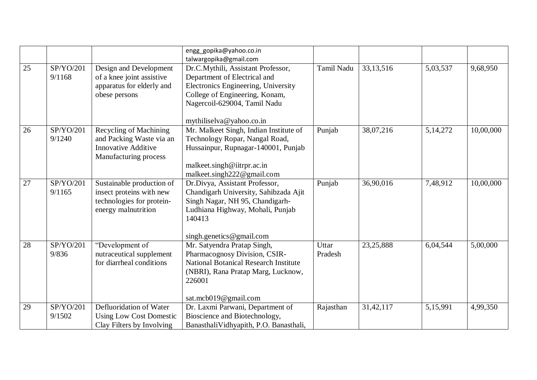|                 |                     |                                                                                                           | engg gopika@yahoo.co.in<br>talwargopika@gmail.com                                                                                                                                                       |                  |             |            |           |
|-----------------|---------------------|-----------------------------------------------------------------------------------------------------------|---------------------------------------------------------------------------------------------------------------------------------------------------------------------------------------------------------|------------------|-------------|------------|-----------|
| $\overline{25}$ | SP/YO/201<br>9/1168 | Design and Development<br>of a knee joint assistive<br>apparatus for elderly and<br>obese persons         | Dr.C.Mythili, Assistant Professor,<br>Department of Electrical and<br>Electronics Engineering, University<br>College of Engineering, Konam,<br>Nagercoil-629004, Tamil Nadu<br>mythiliselva@yahoo.co.in | Tamil Nadu       | 33, 13, 516 | 5,03,537   | 9,68,950  |
| 26              | SP/YO/201<br>9/1240 | Recycling of Machining<br>and Packing Waste via an<br><b>Innovative Additive</b><br>Manufacturing process | Mr. Malkeet Singh, Indian Institute of<br>Technology Ropar, Nangal Road,<br>Hussainpur, Rupnagar-140001, Punjab<br>malkeet.singh@iitrpr.ac.in<br>malkeet.singh222@gmail.com                             | Punjab           | 38,07,216   | 5, 14, 272 | 10,00,000 |
| 27              | SP/YO/201<br>9/1165 | Sustainable production of<br>insect proteins with new<br>technologies for protein-<br>energy malnutrition | Dr.Divya, Assistant Professor,<br>Chandigarh University, Sahibzada Ajit<br>Singh Nagar, NH 95, Chandigarh-<br>Ludhiana Highway, Mohali, Punjab<br>140413<br>singh.genetics@gmail.com                    | Punjab           | 36,90,016   | 7,48,912   | 10,00,000 |
| 28              | SP/YO/201<br>9/836  | "Development of<br>nutraceutical supplement<br>for diarrheal conditions                                   | Mr. Satyendra Pratap Singh,<br>Pharmacognosy Division, CSIR-<br><b>National Botanical Research Institute</b><br>(NBRI), Rana Pratap Marg, Lucknow,<br>226001<br>sat.mcb019@gmail.com                    | Uttar<br>Pradesh | 23, 25, 888 | 6,04,544   | 5,00,000  |
| 29              | SP/YO/201<br>9/1502 | Defluoridation of Water<br><b>Using Low Cost Domestic</b><br>Clay Filters by Involving                    | Dr. Laxmi Parwani, Department of<br>Bioscience and Biotechnology,<br>BanasthaliVidhyapith, P.O. Banasthali,                                                                                             | Rajasthan        | 31,42,117   | 5,15,991   | 4,99,350  |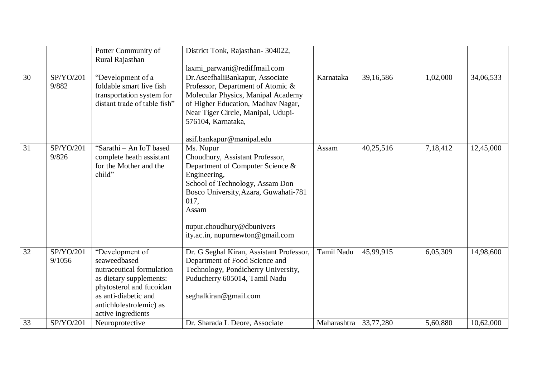|                 |                     | Potter Community of<br>Rural Rajasthan                                                                                                                                                       | District Tonk, Rajasthan-304022,                                                                                                                                                                                                                                           |             |           |          |           |
|-----------------|---------------------|----------------------------------------------------------------------------------------------------------------------------------------------------------------------------------------------|----------------------------------------------------------------------------------------------------------------------------------------------------------------------------------------------------------------------------------------------------------------------------|-------------|-----------|----------|-----------|
| 30              | SP/YO/201<br>9/882  | "Development of a<br>foldable smart live fish<br>transportation system for<br>distant trade of table fish"                                                                                   | laxmi_parwani@rediffmail.com<br>Dr. AseefhaliBankapur, Associate<br>Professor, Department of Atomic &<br>Molecular Physics, Manipal Academy<br>of Higher Education, Madhav Nagar,<br>Near Tiger Circle, Manipal, Udupi-<br>576104, Karnataka,<br>asif.bankapur@manipal.edu | Karnataka   | 39,16,586 | 1,02,000 | 34,06,533 |
| $\overline{31}$ | SP/YO/201<br>9/826  | "Sarathi - An IoT based<br>complete heath assistant<br>for the Mother and the<br>child"                                                                                                      | Ms. Nupur<br>Choudhury, Assistant Professor,<br>Department of Computer Science &<br>Engineering,<br>School of Technology, Assam Don<br>Bosco University, Azara, Guwahati-781<br>017,<br>Assam<br>nupur.choudhury@dbunivers<br>ity.ac.in, nupurnewton@gmail.com             | Assam       | 40,25,516 | 7,18,412 | 12,45,000 |
| 32              | SP/YO/201<br>9/1056 | "Development of<br>seaweedbased<br>nutraceutical formulation<br>as dietary supplements:<br>phytosterol and fucoidan<br>as anti-diabetic and<br>antichlolestrolemic) as<br>active ingredients | Dr. G Seghal Kiran, Assistant Professor,<br>Department of Food Science and<br>Technology, Pondicherry University,<br>Puducherry 605014, Tamil Nadu<br>seghalkiran@gmail.com                                                                                                | Tamil Nadu  | 45,99,915 | 6,05,309 | 14,98,600 |
| 33              | SP/YO/201           | Neuroprotective                                                                                                                                                                              | Dr. Sharada L Deore, Associate                                                                                                                                                                                                                                             | Maharashtra | 33,77,280 | 5,60,880 | 10,62,000 |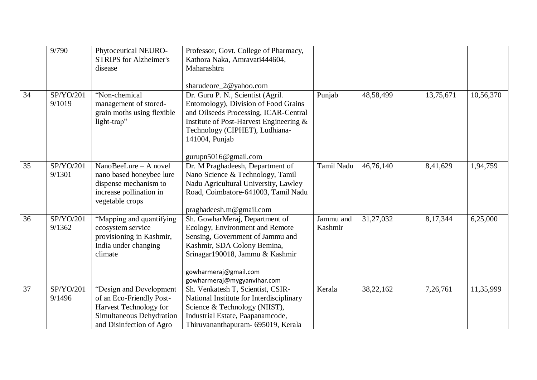|    | 9/790                          | Phytoceutical NEURO-          | Professor, Govt. College of Pharmacy,    |                   |           |           |           |
|----|--------------------------------|-------------------------------|------------------------------------------|-------------------|-----------|-----------|-----------|
|    |                                | <b>STRIPS</b> for Alzheimer's | Kathora Naka, Amravati444604,            |                   |           |           |           |
|    |                                | disease                       | Maharashtra                              |                   |           |           |           |
|    |                                |                               |                                          |                   |           |           |           |
|    |                                |                               | sharudeore_2@yahoo.com                   |                   |           |           |           |
| 34 | SP/YO/201                      | "Non-chemical                 | Dr. Guru P. N., Scientist (Agril.        | Punjab            | 48,58,499 | 13,75,671 | 10,56,370 |
|    | 9/1019                         | management of stored-         | Entomology), Division of Food Grains     |                   |           |           |           |
|    |                                | grain moths using flexible    | and Oilseeds Processing, ICAR-Central    |                   |           |           |           |
|    |                                | light-trap"                   | Institute of Post-Harvest Engineering &  |                   |           |           |           |
|    |                                |                               | Technology (CIPHET), Ludhiana-           |                   |           |           |           |
|    |                                |                               | 141004, Punjab                           |                   |           |           |           |
|    |                                |                               |                                          |                   |           |           |           |
|    |                                |                               | gurupn5016@gmail.com                     |                   |           |           |           |
| 35 | SP/YO/201                      | $NanoBeelure - A novel$       | Dr. M Praghadeesh, Department of         | <b>Tamil Nadu</b> | 46,76,140 | 8,41,629  | 1,94,759  |
|    | 9/1301                         | nano based honeybee lure      | Nano Science & Technology, Tamil         |                   |           |           |           |
|    |                                | dispense mechanism to         | Nadu Agricultural University, Lawley     |                   |           |           |           |
|    |                                | increase pollination in       | Road, Coimbatore-641003, Tamil Nadu      |                   |           |           |           |
|    |                                | vegetable crops               |                                          |                   |           |           |           |
|    |                                |                               | praghadeesh.m@gmail.com                  |                   |           |           |           |
| 36 | SP/YO/201                      | "Mapping and quantifying      | Sh. GowharMeraj, Department of           | Jammu and         | 31,27,032 | 8,17,344  | 6,25,000  |
|    | 9/1362                         | ecosystem service             | Ecology, Environment and Remote          | Kashmir           |           |           |           |
|    |                                | provisioning in Kashmir,      | Sensing, Government of Jammu and         |                   |           |           |           |
|    |                                | India under changing          | Kashmir, SDA Colony Bemina,              |                   |           |           |           |
|    |                                | climate                       | Srinagar190018, Jammu & Kashmir          |                   |           |           |           |
|    |                                |                               |                                          |                   |           |           |           |
|    |                                |                               | gowharmeraj@gmail.com                    |                   |           |           |           |
|    |                                |                               | gowharmeraj@mygyanvihar.com              |                   |           |           |           |
| 37 | $\overline{\text{SP}}$ /YO/201 | "Design and Development       | Sh. Venkatesh T, Scientist, CSIR-        | Kerala            | 38,22,162 | 7,26,761  | 11,35,999 |
|    | 9/1496                         | of an Eco-Friendly Post-      | National Institute for Interdisciplinary |                   |           |           |           |
|    |                                | Harvest Technology for        | Science & Technology (NIIST),            |                   |           |           |           |
|    |                                | Simultaneous Dehydration      | Industrial Estate, Paapanamcode,         |                   |           |           |           |
|    |                                | and Disinfection of Agro      | Thiruvananthapuram- 695019, Kerala       |                   |           |           |           |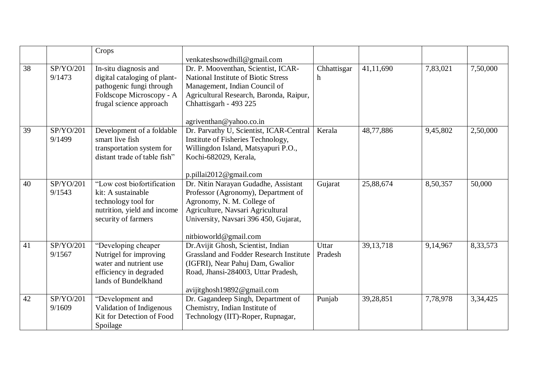|    |           | Crops                        |                                                |             |             |          |          |
|----|-----------|------------------------------|------------------------------------------------|-------------|-------------|----------|----------|
|    |           |                              | venkateshsowdhill@gmail.com                    |             |             |          |          |
| 38 | SP/YO/201 | In-situ diagnosis and        | Dr. P. Mooventhan, Scientist, ICAR-            | Chhattisgar | 41,11,690   | 7,83,021 | 7,50,000 |
|    | 9/1473    | digital cataloging of plant- | <b>National Institute of Biotic Stress</b>     | h           |             |          |          |
|    |           | pathogenic fungi through     | Management, Indian Council of                  |             |             |          |          |
|    |           | Foldscope Microscopy - A     | Agricultural Research, Baronda, Raipur,        |             |             |          |          |
|    |           | frugal science approach      | Chhattisgarh - 493 225                         |             |             |          |          |
|    |           |                              |                                                |             |             |          |          |
|    |           |                              | agriventhan@yahoo.co.in                        |             |             |          |          |
| 39 | SP/YO/201 | Development of a foldable    | Dr. Parvathy U, Scientist, ICAR-Central        | Kerala      | 48,77,886   | 9,45,802 | 2,50,000 |
|    | 9/1499    | smart live fish              | Institute of Fisheries Technology,             |             |             |          |          |
|    |           | transportation system for    | Willingdon Island, Matsyapuri P.O.,            |             |             |          |          |
|    |           | distant trade of table fish" | Kochi-682029, Kerala,                          |             |             |          |          |
|    |           |                              |                                                |             |             |          |          |
|    |           |                              | p.pillai2012@gmail.com                         |             |             |          |          |
| 40 | SP/YO/201 | "Low cost biofortification   | Dr. Nitin Narayan Gudadhe, Assistant           | Gujarat     | 25,88,674   | 8,50,357 | 50,000   |
|    | 9/1543    | kit: A sustainable           | Professor (Agronomy), Department of            |             |             |          |          |
|    |           | technology tool for          | Agronomy, N. M. College of                     |             |             |          |          |
|    |           | nutrition, yield and income  | Agriculture, Navsari Agricultural              |             |             |          |          |
|    |           | security of farmers          | University, Navsari 396 450, Gujarat,          |             |             |          |          |
|    |           |                              |                                                |             |             |          |          |
|    |           |                              | nitbioworld@gmail.com                          |             |             |          |          |
| 41 | SP/YO/201 | "Developing cheaper          | Dr. Avijit Ghosh, Scientist, Indian            | Uttar       | 39, 13, 718 | 9,14,967 | 8,33,573 |
|    | 9/1567    | Nutrigel for improving       | <b>Grassland and Fodder Research Institute</b> | Pradesh     |             |          |          |
|    |           | water and nutrient use       | (IGFRI), Near Pahuj Dam, Gwalior               |             |             |          |          |
|    |           | efficiency in degraded       | Road, Jhansi-284003, Uttar Pradesh,            |             |             |          |          |
|    |           | lands of Bundelkhand         |                                                |             |             |          |          |
|    |           |                              | avijitghosh19892@gmail.com                     |             |             |          |          |
| 42 | SP/YO/201 | "Development and             | Dr. Gagandeep Singh, Department of             | Punjab      | 39,28,851   | 7,78,978 | 3,34,425 |
|    | 9/1609    | Validation of Indigenous     | Chemistry, Indian Institute of                 |             |             |          |          |
|    |           | Kit for Detection of Food    | Technology (IIT)-Roper, Rupnagar,              |             |             |          |          |
|    |           | Spoilage                     |                                                |             |             |          |          |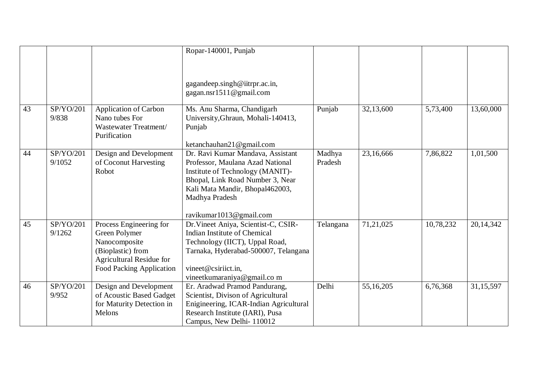|    |                     |                                                                                                                                        | Ropar-140001, Punjab                                                                                                                                                                                                          |                   |           |           |             |
|----|---------------------|----------------------------------------------------------------------------------------------------------------------------------------|-------------------------------------------------------------------------------------------------------------------------------------------------------------------------------------------------------------------------------|-------------------|-----------|-----------|-------------|
|    |                     |                                                                                                                                        |                                                                                                                                                                                                                               |                   |           |           |             |
|    |                     |                                                                                                                                        |                                                                                                                                                                                                                               |                   |           |           |             |
|    |                     |                                                                                                                                        | gagandeep.singh@iitrpr.ac.in,<br>gagan.nsr1511@gmail.com                                                                                                                                                                      |                   |           |           |             |
| 43 | SP/YO/201<br>9/838  | <b>Application of Carbon</b><br>Nano tubes For<br>Wastewater Treatment/<br>Purification                                                | Ms. Anu Sharma, Chandigarh<br>University, Ghraun, Mohali-140413,<br>Punjab<br>ketanchauhan21@gmail.com                                                                                                                        | Punjab            | 32,13,600 | 5,73,400  | 13,60,000   |
| 44 | SP/YO/201<br>9/1052 | Design and Development<br>of Coconut Harvesting<br>Robot                                                                               | Dr. Ravi Kumar Mandava, Assistant<br>Professor, Maulana Azad National<br>Institute of Technology (MANIT)-<br>Bhopal, Link Road Number 3, Near<br>Kali Mata Mandir, Bhopal462003,<br>Madhya Pradesh<br>ravikumar1013@gmail.com | Madhya<br>Pradesh | 23,16,666 | 7,86,822  | 1,01,500    |
| 45 | SP/YO/201<br>9/1262 | Process Engineering for<br>Green Polymer<br>Nanocomposite<br>(Bioplastic) from<br>Agricultural Residue for<br>Food Packing Application | Dr.Vineet Aniya, Scientist-C, CSIR-<br>Indian Institute of Chemical<br>Technology (IICT), Uppal Road,<br>Tarnaka, Hyderabad-500007, Telangana<br>vineet@csiriict.in,<br>vineetkumaraniya@gmail.com                            | Telangana         | 71,21,025 | 10,78,232 | 20, 14, 342 |
| 46 | SP/YO/201<br>9/952  | Design and Development<br>of Acoustic Based Gadget<br>for Maturity Detection in<br>Melons                                              | Er. Aradwad Pramod Pandurang,<br>Scientist, Divison of Agricultural<br>Enigineering, ICAR-Indian Agricultural<br>Research Institute (IARI), Pusa<br>Campus, New Delhi-110012                                                  | Delhi             | 55,16,205 | 6,76,368  | 31,15,597   |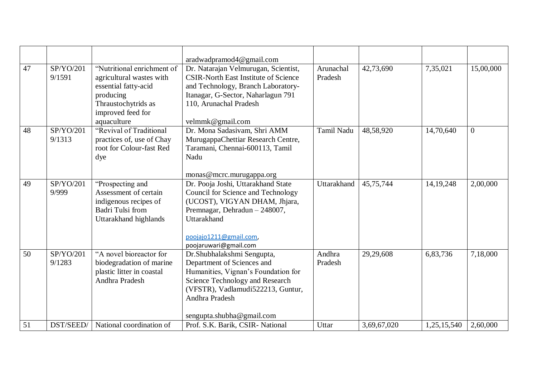|    |           |                            | aradwadpramod4@gmail.com                    |             |             |             |                |
|----|-----------|----------------------------|---------------------------------------------|-------------|-------------|-------------|----------------|
| 47 | SP/YO/201 | "Nutritional enrichment of | Dr. Natarajan Velmurugan, Scientist,        | Arunachal   | 42,73,690   | 7,35,021    | 15,00,000      |
|    | 9/1591    | agricultural wastes with   | <b>CSIR-North East Institute of Science</b> | Pradesh     |             |             |                |
|    |           | essential fatty-acid       | and Technology, Branch Laboratory-          |             |             |             |                |
|    |           | producing                  | Itanagar, G-Sector, Naharlagun 791          |             |             |             |                |
|    |           | Thraustochytrids as        | 110, Arunachal Pradesh                      |             |             |             |                |
|    |           | improved feed for          |                                             |             |             |             |                |
|    |           | aquaculture                | velmmk@gmail.com                            |             |             |             |                |
| 48 | SP/YO/201 | "Revival of Traditional    | Dr. Mona Sadasiyam, Shri AMM                | Tamil Nadu  | 48,58,920   | 14,70,640   | $\overline{0}$ |
|    | 9/1313    | practices of, use of Chay  | MurugappaChettiar Research Centre,          |             |             |             |                |
|    |           | root for Colour-fast Red   | Taramani, Chennai-600113, Tamil             |             |             |             |                |
|    |           | dye                        | Nadu                                        |             |             |             |                |
|    |           |                            |                                             |             |             |             |                |
|    |           |                            | monas@mcrc.murugappa.org                    |             |             |             |                |
| 49 | SP/YO/201 | "Prospecting and           | Dr. Pooja Joshi, Uttarakhand State          | Uttarakhand | 45,75,744   | 14, 19, 248 | 2,00,000       |
|    | 9/999     | Assessment of certain      | Council for Science and Technology          |             |             |             |                |
|    |           | indigenous recipes of      | (UCOST), VIGYAN DHAM, Jhjara,               |             |             |             |                |
|    |           | Badri Tulsi from           | Premnagar, Dehradun - 248007,               |             |             |             |                |
|    |           | Uttarakhand highlands      | Uttarakhand                                 |             |             |             |                |
|    |           |                            |                                             |             |             |             |                |
|    |           |                            | poojajo1211@gmail.com,                      |             |             |             |                |
|    |           |                            | poojaruwari@gmail.com                       |             |             |             |                |
| 50 | SP/YO/201 | "A novel bioreactor for    | Dr.Shubhalakshmi Sengupta,                  | Andhra      | 29,29,608   | 6,83,736    | 7,18,000       |
|    | 9/1283    | biodegradation of marine   | Department of Sciences and                  | Pradesh     |             |             |                |
|    |           | plastic litter in coastal  | Humanities, Vignan's Foundation for         |             |             |             |                |
|    |           | Andhra Pradesh             | Science Technology and Research             |             |             |             |                |
|    |           |                            | (VFSTR), Vadlamudi522213, Guntur,           |             |             |             |                |
|    |           |                            | Andhra Pradesh                              |             |             |             |                |
|    |           |                            |                                             |             |             |             |                |
|    |           |                            | sengupta.shubha@gmail.com                   |             |             |             |                |
| 51 | DST/SEED/ | National coordination of   | Prof. S.K. Barik, CSIR- National            | Uttar       | 3,69,67,020 | 1,25,15,540 | 2,60,000       |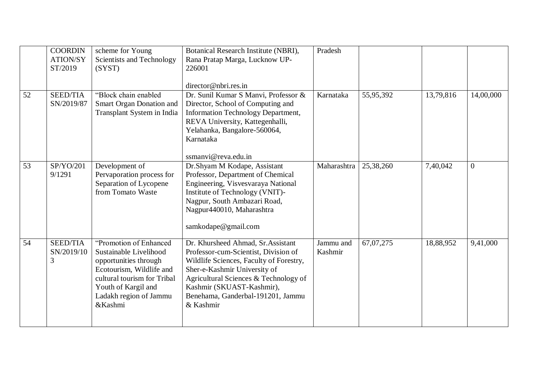|    | <b>COORDIN</b><br><b>ATION/SY</b><br>ST/2019 | scheme for Young<br>Scientists and Technology<br>(SYST)                                                                                                                                          | Botanical Research Institute (NBRI),<br>Rana Pratap Marga, Lucknow UP-<br>226001                                                                                                                                                                                              | Pradesh              |           |           |                |
|----|----------------------------------------------|--------------------------------------------------------------------------------------------------------------------------------------------------------------------------------------------------|-------------------------------------------------------------------------------------------------------------------------------------------------------------------------------------------------------------------------------------------------------------------------------|----------------------|-----------|-----------|----------------|
|    |                                              |                                                                                                                                                                                                  | director@nbri.res.in                                                                                                                                                                                                                                                          |                      |           |           |                |
| 52 | <b>SEED/TIA</b><br>SN/2019/87                | "Block chain enabled<br>Smart Organ Donation and<br>Transplant System in India                                                                                                                   | Dr. Sunil Kumar S Manvi, Professor &<br>Director, School of Computing and<br>Information Technology Department,<br>REVA University, Kattegenhalli,<br>Yelahanka, Bangalore-560064,<br>Karnataka<br>ssmanvi@reva.edu.in                                                        | Karnataka            | 55,95,392 | 13,79,816 | 14,00,000      |
| 53 | SP/YO/201<br>9/1291                          | Development of<br>Pervaporation process for<br>Separation of Lycopene<br>from Tomato Waste                                                                                                       | Dr.Shyam M Kodape, Assistant<br>Professor, Department of Chemical<br>Engineering, Visvesvaraya National<br>Institute of Technology (VNIT)-<br>Nagpur, South Ambazari Road,<br>Nagpur440010, Maharashtra<br>samkodape@gmail.com                                                | Maharashtra          | 25,38,260 | 7,40,042  | $\overline{0}$ |
| 54 | <b>SEED/TIA</b><br>SN/2019/10<br>3           | "Promotion of Enhanced<br>Sustainable Livelihood<br>opportunities through<br>Ecotourism, Wildlife and<br>cultural tourism for Tribal<br>Youth of Kargil and<br>Ladakh region of Jammu<br>&Kashmi | Dr. Khursheed Ahmad, Sr. Assistant<br>Professor-cum-Scientist, Division of<br>Wildlife Sciences, Faculty of Forestry,<br>Sher-e-Kashmir University of<br>Agricultural Sciences & Technology of<br>Kashmir (SKUAST-Kashmir),<br>Benehama, Ganderbal-191201, Jammu<br>& Kashmir | Jammu and<br>Kashmir | 67,07,275 | 18,88,952 | 9,41,000       |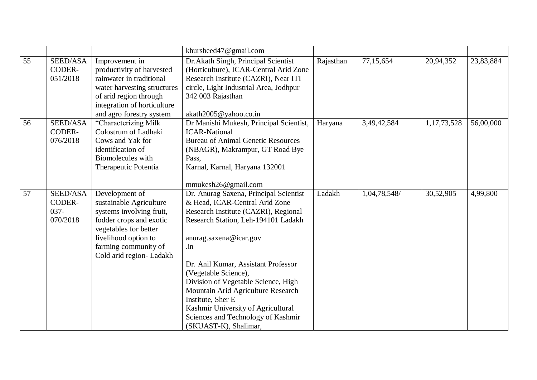|    |                                           |                                                                                                                                                                                                      | khursheed47@gmail.com                                                                                                                                                                                                                                                                                                                                                                                                                                          |           |              |             |           |
|----|-------------------------------------------|------------------------------------------------------------------------------------------------------------------------------------------------------------------------------------------------------|----------------------------------------------------------------------------------------------------------------------------------------------------------------------------------------------------------------------------------------------------------------------------------------------------------------------------------------------------------------------------------------------------------------------------------------------------------------|-----------|--------------|-------------|-----------|
| 55 | SEED/ASA<br>CODER-<br>051/2018            | Improvement in<br>productivity of harvested<br>rainwater in traditional<br>water harvesting structures<br>of arid region through<br>integration of horticulture<br>and agro forestry system          | Dr. Akath Singh, Principal Scientist<br>(Horticulture), ICAR-Central Arid Zone<br>Research Institute (CAZRI), Near ITI<br>circle, Light Industrial Area, Jodhpur<br>342 003 Rajasthan<br>akath2005@yahoo.co.in                                                                                                                                                                                                                                                 | Rajasthan | 77,15,654    | 20,94,352   | 23,83,884 |
| 56 | SEED/ASA<br>CODER-<br>076/2018            | "Characterizing Milk<br>Colostrum of Ladhaki<br>Cows and Yak for<br>identification of<br>Biomolecules with<br>Therapeutic Potentia                                                                   | Dr Manishi Mukesh, Principal Scientist,<br><b>ICAR-National</b><br><b>Bureau of Animal Genetic Resources</b><br>(NBAGR), Makrampur, GT Road Bye<br>Pass,<br>Karnal, Karnal, Haryana 132001<br>mmukesh26@gmail.com                                                                                                                                                                                                                                              | Haryana   | 3,49,42,584  | 1,17,73,528 | 56,00,000 |
| 57 | SEED/ASA<br>CODER-<br>$037 -$<br>070/2018 | Development of<br>sustainable Agriculture<br>systems involving fruit,<br>fodder crops and exotic<br>vegetables for better<br>livelihood option to<br>farming community of<br>Cold arid region-Ladakh | Dr. Anurag Saxena, Principal Scientist<br>& Head, ICAR-Central Arid Zone<br>Research Institute (CAZRI), Regional<br>Research Station, Leh-194101 Ladakh<br>anurag.saxena@icar.gov<br>.in<br>Dr. Anil Kumar, Assistant Professor<br>(Vegetable Science),<br>Division of Vegetable Science, High<br>Mountain Arid Agriculture Research<br>Institute, Sher E<br>Kashmir University of Agricultural<br>Sciences and Technology of Kashmir<br>(SKUAST-K), Shalimar, | Ladakh    | 1,04,78,548/ | 30,52,905   | 4,99,800  |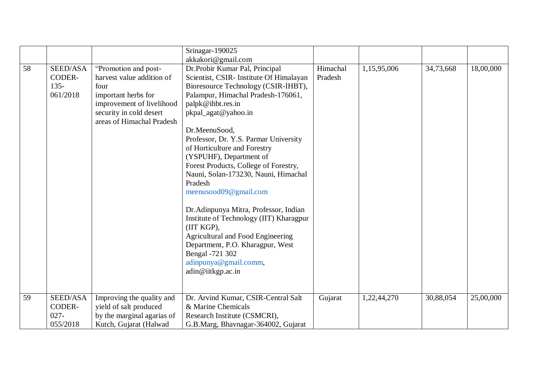|    |          |                            | Srinagar-190025                                     |          |             |           |           |
|----|----------|----------------------------|-----------------------------------------------------|----------|-------------|-----------|-----------|
|    |          |                            | akkakori@gmail.com                                  |          |             |           |           |
| 58 | SEED/ASA | "Promotion and post-       | Dr.Probir Kumar Pal, Principal                      | Himachal | 1,15,95,006 | 34,73,668 | 18,00,000 |
|    | CODER-   | harvest value addition of  | Scientist, CSIR- Institute Of Himalayan             | Pradesh  |             |           |           |
|    | $135 -$  | four                       | Bioresource Technology (CSIR-IHBT),                 |          |             |           |           |
|    | 061/2018 | important herbs for        | Palampur, Himachal Pradesh-176061,                  |          |             |           |           |
|    |          | improvement of livelihood  | palpk@ihbt.res.in                                   |          |             |           |           |
|    |          | security in cold desert    | pkpal_agat@yahoo.in                                 |          |             |           |           |
|    |          | areas of Himachal Pradesh  |                                                     |          |             |           |           |
|    |          |                            | Dr.MeenuSood,                                       |          |             |           |           |
|    |          |                            | Professor, Dr. Y.S. Parmar University               |          |             |           |           |
|    |          |                            | of Horticulture and Forestry                        |          |             |           |           |
|    |          |                            | (YSPUHF), Department of                             |          |             |           |           |
|    |          |                            | Forest Products, College of Forestry,               |          |             |           |           |
|    |          |                            | Nauni, Solan-173230, Nauni, Himachal                |          |             |           |           |
|    |          |                            | Pradesh                                             |          |             |           |           |
|    |          |                            | meenusood09@gmail.com                               |          |             |           |           |
|    |          |                            | Dr. Adinpunya Mitra, Professor, Indian              |          |             |           |           |
|    |          |                            | Institute of Technology (IIT) Kharagpur             |          |             |           |           |
|    |          |                            | (IIT KGP),                                          |          |             |           |           |
|    |          |                            | Agricultural and Food Engineering                   |          |             |           |           |
|    |          |                            | Department, P.O. Kharagpur, West<br>Bengal -721 302 |          |             |           |           |
|    |          |                            | adinpunya@gmail.comm,                               |          |             |           |           |
|    |          |                            |                                                     |          |             |           |           |
|    |          |                            | adin@iitkgp.ac.in                                   |          |             |           |           |
|    |          |                            |                                                     |          |             |           |           |
| 59 | SEED/ASA | Improving the quality and  | Dr. Arvind Kumar, CSIR-Central Salt                 | Gujarat  | 1,22,44,270 | 30,88,054 | 25,00,000 |
|    | CODER-   | yield of salt produced     | & Marine Chemicals                                  |          |             |           |           |
|    | $027 -$  | by the marginal agarias of | Research Institute (CSMCRI),                        |          |             |           |           |
|    | 055/2018 | Kutch, Gujarat (Halwad     | G.B.Marg, Bhavnagar-364002, Gujarat                 |          |             |           |           |